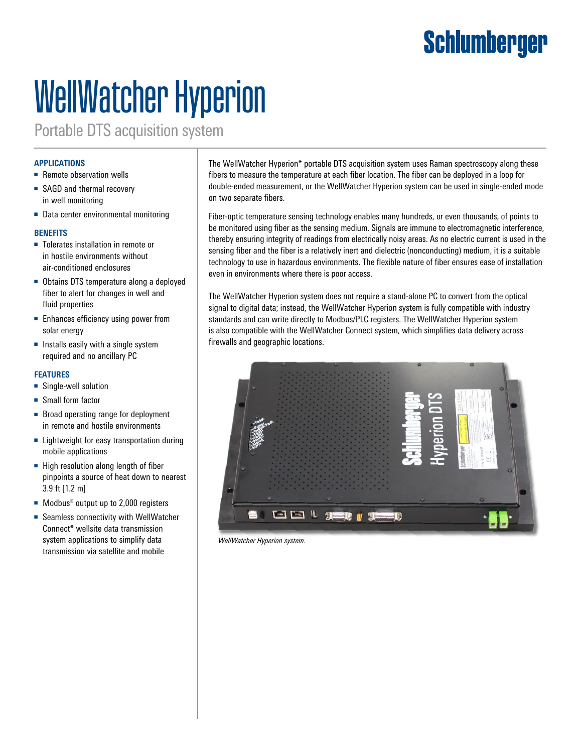## **Schlumberger**

# WellWatcher Hyperion

Portable DTS acquisition system

#### **APPLICATIONS**

- Remote observation wells
- SAGD and thermal recovery in well monitoring
- Data center environmental monitoring

#### **BENEFITS**

- Tolerates installation in remote or in hostile environments without air-conditioned enclosures
- Obtains DTS temperature along a deployed fiber to alert for changes in well and fluid properties
- Enhances efficiency using power from solar energy
- Installs easily with a single system required and no ancillary PC

#### **FEATURES**

- Single-well solution
- Small form factor
- Broad operating range for deployment in remote and hostile environments
- Lightweight for easy transportation during mobile applications
- High resolution along length of fiber pinpoints a source of heat down to nearest 3.9 ft [1.2 m]
- Modbus<sup>®</sup> output up to 2,000 registers
- Seamless connectivity with WellWatcher Connect\* wellsite data transmission system applications to simplify data transmission via satellite and mobile

The WellWatcher Hyperion\* portable DTS acquisition system uses Raman spectroscopy along these fibers to measure the temperature at each fiber location. The fiber can be deployed in a loop for double-ended measurement, or the WellWatcher Hyperion system can be used in single-ended mode on two separate fibers.

Fiber-optic temperature sensing technology enables many hundreds, or even thousands, of points to be monitored using fiber as the sensing medium. Signals are immune to electromagnetic interference, thereby ensuring integrity of readings from electrically noisy areas. As no electric current is used in the sensing fiber and the fiber is a relatively inert and dielectric (nonconducting) medium, it is a suitable technology to use in hazardous environments. The flexible nature of fiber ensures ease of installation even in environments where there is poor access.

The WellWatcher Hyperion system does not require a stand-alone PC to convert from the optical signal to digital data; instead, the WellWatcher Hyperion system is fully compatible with industry standards and can write directly to Modbus/PLC registers. The WellWatcher Hyperion system is also compatible with the WellWatcher Connect system, which simplifies data delivery across firewalls and geographic locations.



*WellWatcher Hyperion system.*